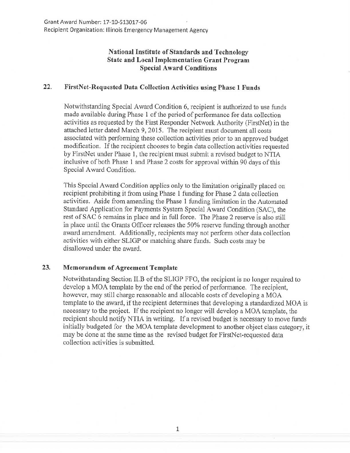## **National Institute of Standards and Technology State and Local Implementation Grant Program Special Award Conditions**

## **22. FirstNet-Requested Data Collection Activities using Phase 1 Funds**

Notwithstanding Special Award Condition 6, recipient is authorized to use funds made available during Phase 1 of the period of performance for data collection activities as requested by the First Responder Network Authority (FirstNet) in the attached letter dated March 9, 2015. The recipient must document all costs associated with performing these collection activities prior to an approved budget modification. If the recipient chooses to begin data collection activities requested by FirstNet under Phase **1,** the recipient must submit a revised budget to NTIA inclusive of both Phase 1 and Phase 2 costs for approval within 90 days of this Special Award Condition.

This Special Award Condition applies only to the limitation originally placed on recipient prohibiting it from using Phase **1** funding for Phase 2 data collection activities. Aside from amending the Phase 1 funding limitation in the Automated Standard Application for Payments System Special Award Condition (SAC), the rest of SAC 6 remains in place and in full force. The Phase 2 reserve is also still in place until the Grants Officer releases the 50% reserve funding through another award amendment. Additionally, recipients may not perform other data collection activities with either SLIGP or matching share funds. Such costs may be disallowed under the award.

## 23. **Memorandum of Agreement Template**

Notwithstanding Section II.B of the SLIGP FFO, the recipient is no longer required to develop a MOA template by the end of the period of performance. The recipient, however, may still charge reasonable and allocable costs of developing a MOA template to the award, if the recipient determines that developing a standardized MOA is necessary to the project. If the recipient no longer will develop a MOA template, the recipient should notify NTIA in writing. If a revised budget is necessary to move funds initially budgeted for the MOA template development to another object class category, it may be done at the same time as the revised budget for FirstNet-requested data collection activities is submitted.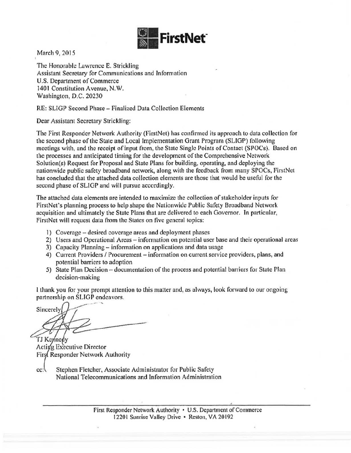

March 9, 2015

The Honorable Lawrence E. Strickling Assistant Secretary for Communications and Information U.S. Department of Commerce 1401 Constitution Avenue, N.W. Washington, D.C. 20230

RE: SUGP Second Phase- Finalized Data Collection Elements

Dear Assistant Secretary Strickling:

The First Responder Network Authority (FirstNet) has confirmed its approach to data collection for the second phase of the State and Local Implementation Grant Program (SLIGP) following meetings with, and the receipt of input from, the State Single Points of Contact (SPOCs). Based on the processes and anticipated timing for the development of the Comprehensive Network Solution(s) Request for Proposal and State Plans for building, operating, and deploying the nationwide public safety broadband network, along with the feedback from many SPOCs, FirstNet has concluded that the attached data collection elements are those that would be useful for the second phase of SLIGP and will pursue accordingly.

The attached data elements are intended to maximize the collection of stakeholder inputs for FirstNet's planning process to help shape the Nationwide Public Safety Broadband Network acquisition and ultimately the State Plans that arc delivered to each Governor. In particular, FirstNct will request data from the States on five general topics:

- 1) Coverage desired coverage areas and deployment phases
- 2) Users and Operational Areas- information on potential user base and their operational areas
- 3) Capacity Planning- information on applications and data usage
- 4) Current Providers / Procurement information on current service providers, plans, and potential barriers to adoption
- 5) State Plan Decision documentation of the process and potential barriers for State Plan decision-making

l thank you for your prompt attention to this matter and, as always, look forward to our ongoing partnership on SLIGP endeavors.

**Sincerely** TJ Kennedy

Acting Executive Director First Responder Network Authority

 $cc$ : Stephen Fletcher, Associate Administrator for Public Safety National Telecommunications and Information Administration